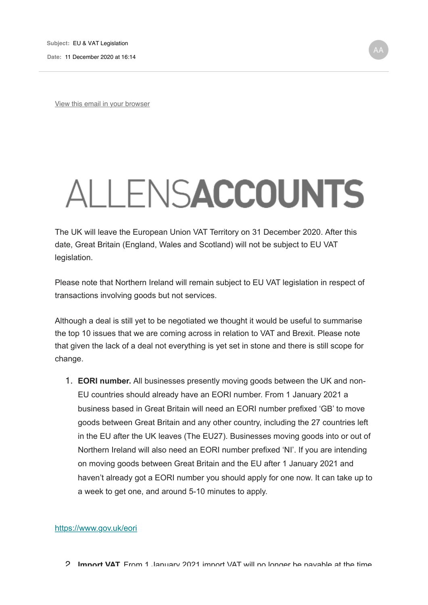**Date:** 11 December 2020 at 16:14

View this email in your browser

## ALLENSACCOUNTS

The UK will leave the European Union VAT Territory on 31 December 2020. After this date, Great Britain (England, Wales and Scotland) will not be subject to EU VAT legislation.

Please note that Northern Ireland will remain subject to EU VAT legislation in respect of transactions involving goods but not services.

Although a deal is still yet to be negotiated we thought it would be useful to summarise the top 10 issues that we are coming across in relation to VAT and Brexit. Please note that given the lack of a deal not everything is yet set in stone and there is still scope for change.

1. **EORI number.** All businesses presently moving goods between the UK and non-EU countries should already have an EORI number. From 1 January 2021 a business based in Great Britain will need an EORI number prefixed 'GB' to move goods between Great Britain and any other country, including the 27 countries left in the EU after the UK leaves (The EU27). Businesses moving goods into or out of Northern Ireland will also need an EORI number prefixed 'NI'. If you are intending on moving goods between Great Britain and the EU after 1 January 2021 and haven't already got a EORI number you should apply for one now. It can take up to a week to get one, and around 5-10 minutes to apply.

## https://www.gov.uk/eori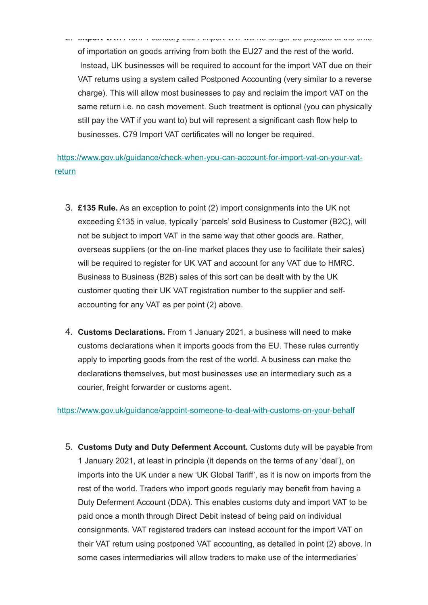2. **Import VAT.** From 1 January 2021 import VAT will no longer be payable at the time of importation on goods arriving from both the EU27 and the rest of the world. Instead, UK businesses will be required to account for the import VAT due on their VAT returns using a system called Postponed Accounting (very similar to a reverse charge). This will allow most businesses to pay and reclaim the import VAT on the same return i.e. no cash movement. Such treatment is optional (you can physically still pay the VAT if you want to) but will represent a significant cash flow help to businesses. C79 Import VAT certificates will no longer be required.

https://www.gov.uk/guidance/check-when-you-can-account-for-import-vat-on-your-vatreturn

- 3. **£135 Rule.** As an exception to point (2) import consignments into the UK not exceeding £135 in value, typically 'parcels' sold Business to Customer (B2C), will not be subject to import VAT in the same way that other goods are. Rather, overseas suppliers (or the on-line market places they use to facilitate their sales) will be required to register for UK VAT and account for any VAT due to HMRC. Business to Business (B2B) sales of this sort can be dealt with by the UK customer quoting their UK VAT registration number to the supplier and selfaccounting for any VAT as per point (2) above.
- 4. **Customs Declarations.** From 1 January 2021, a business will need to make customs declarations when it imports goods from the EU. These rules currently apply to importing goods from the rest of the world. A business can make the declarations themselves, but most businesses use an intermediary such as a courier, freight forwarder or customs agent.

https://www.gov.uk/guidance/appoint-someone-to-deal-with-customs-on-your-behalf

5. **Customs Duty and Duty Deferment Account.** Customs duty will be payable from 1 January 2021, at least in principle (it depends on the terms of any 'deal'), on imports into the UK under a new 'UK Global Tariff', as it is now on imports from the rest of the world. Traders who import goods regularly may benefit from having a Duty Deferment Account (DDA). This enables customs duty and import VAT to be paid once a month through Direct Debit instead of being paid on individual consignments. VAT registered traders can instead account for the import VAT on their VAT return using postponed VAT accounting, as detailed in point (2) above. In some cases intermediaries will allow traders to make use of the intermediaries'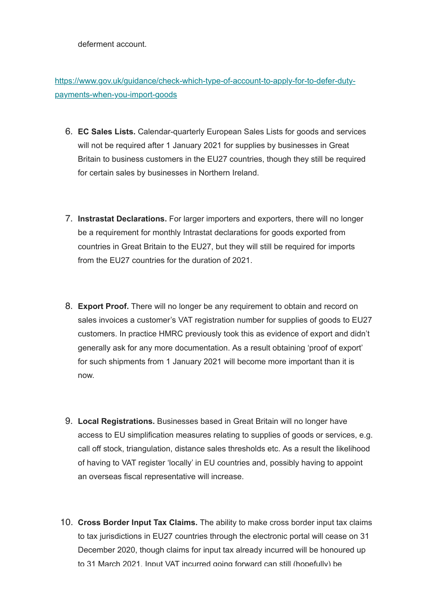deferment account.

https://www.gov.uk/guidance/check-which-type-of-account-to-apply-for-to-defer-dutypayments-when-you-import-goods

- 6. **EC Sales Lists.** Calendar-quarterly European Sales Lists for goods and services will not be required after 1 January 2021 for supplies by businesses in Great Britain to business customers in the EU27 countries, though they still be required for certain sales by businesses in Northern Ireland.
- 7. **Instrastat Declarations.** For larger importers and exporters, there will no longer be a requirement for monthly Intrastat declarations for goods exported from countries in Great Britain to the EU27, but they will still be required for imports from the EU27 countries for the duration of 2021.
- 8. **Export Proof.** There will no longer be any requirement to obtain and record on sales invoices a customer's VAT registration number for supplies of goods to EU27 customers. In practice HMRC previously took this as evidence of export and didn't generally ask for any more documentation. As a result obtaining 'proof of export' for such shipments from 1 January 2021 will become more important than it is now.
- 9. **Local Registrations.** Businesses based in Great Britain will no longer have access to EU simplification measures relating to supplies of goods or services, e.g. call off stock, triangulation, distance sales thresholds etc. As a result the likelihood of having to VAT register 'locally' in EU countries and, possibly having to appoint an overseas fiscal representative will increase.
- 10. **Cross Border Input Tax Claims.** The ability to make cross border input tax claims to tax jurisdictions in EU27 countries through the electronic portal will cease on 31 December 2020, though claims for input tax already incurred will be honoured up to 31 March 2021. Input VAT incurred going forward can still (hopefully) be